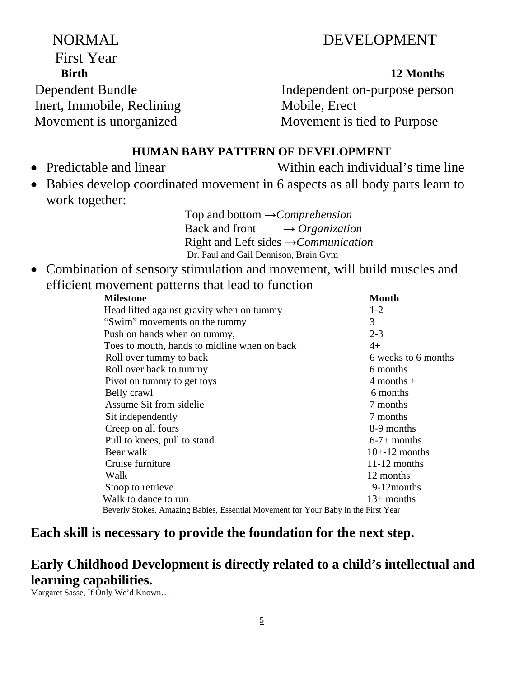# 5

# NORMAL DEVELOPMENT

First Year **Birth** 12 Months Inert, Immobile, Reclining Mobile, Erect

**First Year** 

Dependent Bundle Independent on-purpose person Movement is unorganized Movement is tied to Purpose

### **HUMAN BABY PATTERN OF DEVELOPMENT**

- 
- Predictable and linear Within each individual's time line
- Babies develop coordinated movement in 6 aspects as all body parts learn to work together:

Top and bottom →*Comprehension*  Back and front → *Organization*  Right and Left sides →*Communication*  Dr. Paul and Gail Dennison, Brain Gym

• Combination of sensory stimulation and movement, will build muscles and efficient movement patterns that lead to function

| <b>Milestone</b>                                                                   | <b>Month</b>        |
|------------------------------------------------------------------------------------|---------------------|
| Head lifted against gravity when on tummy                                          | $1-2$               |
| "Swim" movements on the tummy                                                      | 3                   |
| Push on hands when on tummy,                                                       | $2 - 3$             |
| Toes to mouth, hands to midline when on back                                       | $4+$                |
| Roll over tummy to back                                                            | 6 weeks to 6 months |
| Roll over back to tummy                                                            | 6 months            |
| Pivot on tummy to get toys                                                         | $4$ months $+$      |
| Belly crawl                                                                        | 6 months            |
| Assume Sit from sidelie                                                            | 7 months            |
| Sit independently                                                                  | 7 months            |
| Creep on all fours                                                                 | 8-9 months          |
| Pull to knees, pull to stand                                                       | $6-7+$ months       |
| Bear walk                                                                          | $10+12$ months      |
| Cruise furniture                                                                   | $11-12$ months      |
| Walk                                                                               | 12 months           |
| Stoop to retrieve                                                                  | 9-12months          |
| Walk to dance to run                                                               | $13+$ months        |
| Beverly Stokes, Amazing Babies, Essential Movement for Your Baby in the First Year |                     |

## **Each skill is necessary to provide the foundation for the next step.**

# **Early Childhood Development is directly related to a child's intellectual and learning capabilities.**

Margaret Sasse, If Only We'd Known…